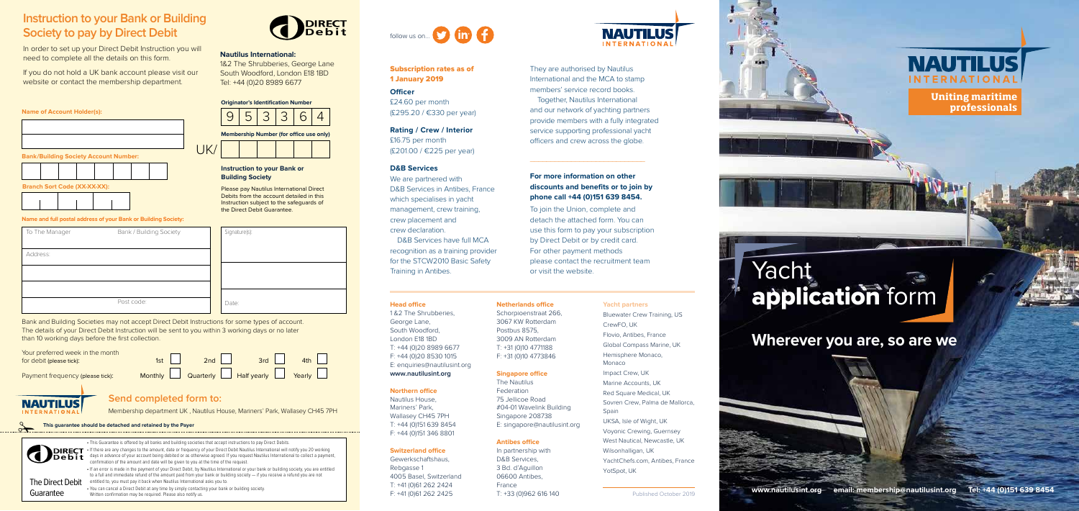#### **Head office**

1 &2 The Shrubberies, George Lane, South Woodford, London E18 1BD T: +44 (0)20 8989 6677 F: +44 (0)20 8530 1015 E: enquiries@nautilusint.org

### **www.nautilusint.org**

#### **Northern office**

Nautilus House, Mariners' Park, Wallasey CH45 7PH T: +44 (0)151 639 8454 F: +44 (0)151 346 8801

#### **Switzerland office**

Gewerkschaftshaus, Rebgasse 1 4005 Basel, Switzerland T: +41 (0)61 262 2424 F: +41 (0)61 262 2425

**NAUTILUS INTERNATION** 

3067 KW Rotterdam Postbus 8575, 3009 AN Rotterdam T: +31 (0)10 4771188 F: +31 (0)10 4773846

> West Nautical, Newcastle, UK Wilsonhalligan, UK YachtChefs.com, Antibes, France YotSpot, UK

#### **Netherlands office** Schorpioenstraat 266, **Yacht partners**

**Singapore office** The Nautilus Federation 75 Jellicoe Road #04-01 Wavelink Building Singapore 208738 E: singapore@nautilusint.org

**Antibes office** In partnership with D&B Services, 3 Bd. d'Aguillon 06600 Antibes, France

T: +33 (0)962 616 140

Bluewater Crew Training, US CrewFO, UK Flovio, Antibes, France Global Compass Marine, UK Hemisphere Monaco, Monaco Impact Crew, UK Marine Accounts, UK Red Square Medical, UK Sovren Crew, Palma de Mallorca, **Spain** UKSA, Isle of Wight, UK Voyonic Crewing, Guernsey

### **Branch Sort Code (XX-XX-XX):**

1&2 The Shrubberies, George Lane South Woodford, London E18 1BD Tel: +44 (0)20 8989 6677





#### **Name and full postal address of your Bank or Building Society:**

Bank and Building Societies may not accept Direct Debit Instructions for some types of account. The details of your Direct Debit Instruction will be sent to you within 3 working days or no later than 10 working days before the first collection.

| To The Manager | Bank / Building Society | Signature(s): |
|----------------|-------------------------|---------------|
| Address:       |                         |               |
|                |                         |               |
|                |                         |               |
|                | Post code:              | Date:         |

| Your preferred week in the month<br>for debit (please tick): | 1st | 2nd | 3rd                                  | 4th |
|--------------------------------------------------------------|-----|-----|--------------------------------------|-----|
| Payment frequency (please tick):                             |     |     | Monthly Quarterly Half yearly Yearly |     |

# **NAUTILUS**

#### **Instruction to your Bank or Building Society**

Please pay Nautilus International Direct Debits from the account detailed in this Instruction subject to the safeguards of the Direct Debit Guarantee.

## follow us on... **D** in **A**

### **Instruction to your Bank or Building Society to pay by Direct Debit**

In order to set up your Direct Debit Instruction you will need to complete all the details on this form.



If you do not hold a UK bank account please visit our website or contact the membership department.

#### **Nautilus International:**

Membership department UK , Nautilus House, Mariners' Park, Wallasey CH45 7PH

### **Send completed form to:**







✃ **This guarantee should be detached and retained by the Payer**

**www.nautilusint.org email: membership@nautilusint.org Tel: +44 (0)151 639 8454** 

**Uniting maritime professionals**

# Yacht application form

**Wherever you are, so are we**



### Subscription rates as of 1 January 2019

**Officer**

£24.60 per month (£295.20 / €330 per year)

### **Rating / Crew / Interior**

£16.75 per month (£201.00 / €225 per year)

#### **D&B Services**

We are partnered with D&B Services in Antibes, France which specialises in yacht management, crew training, crew placement and crew declaration.

D&B Services have full MCA recognition as a training provider for the STCW2010 Basic Safety Training in Antibes.

They are authorised by Nautilus International and the MCA to stamp members' service record books. Together, Nautilus International and our network of yachting partners provide members with a fully integrated service supporting professional yacht officers and crew across the globe.

#### **For more information on other discounts and benefits or to join by phone call +44 (0)151 639 8454.**

 $\overline{\phantom{a}}$  , and the set of the set of the set of the set of the set of the set of the set of the set of the set of the set of the set of the set of the set of the set of the set of the set of the set of the set of the s

To join the Union, complete and detach the attached form. You can use this form to pay your subscription by Direct Debit or by credit card. For other payment methods please contact the recruitment team or visit the website.